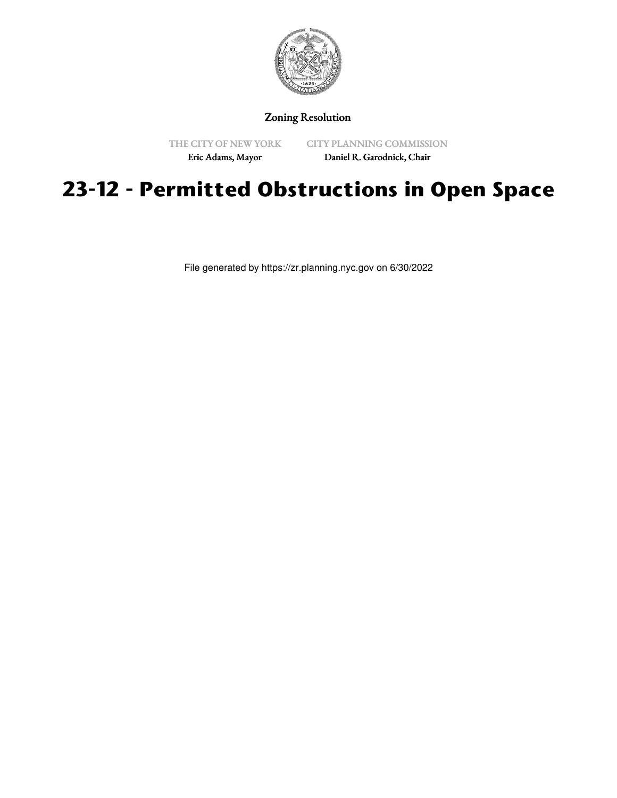

Zoning Resolution

THE CITY OF NEW YORK

CITY PLANNING COMMISSION

Eric Adams, Mayor

Daniel R. Garodnick, Chair

## **23-12 - Permitted Obstructions in Open Space**

File generated by https://zr.planning.nyc.gov on 6/30/2022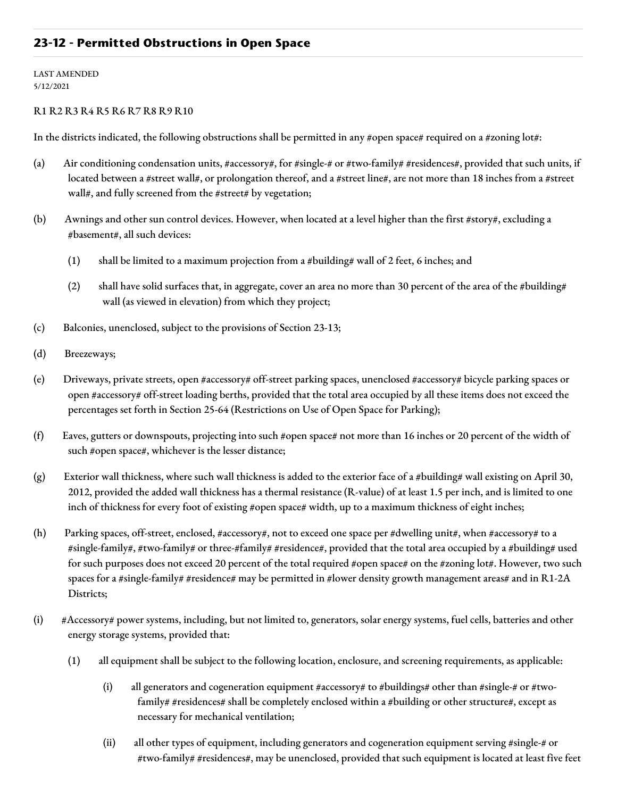## **23-12 - Permitted Obstructions in Open Space**

LAST AMENDED 5/12/2021

## R1 R2 R3 R4 R5 R6 R7 R8 R9 R10

In the districts indicated, the following obstructions shall be permitted in any #open space# required on a #zoning lot#:

- (a) Air conditioning condensation units, #accessory#, for #single-# or #two-family# #residences#, provided that such units, if located between a #street wall#, or prolongation thereof, and a #street line#, are not more than 18 inches from a #street wall#, and fully screened from the #street# by vegetation;
- (b) Awnings and other sun control devices. However, when located at a level higher than the first #story#, excluding a #basement#, all such devices:
	- (1) shall be limited to a maximum projection from a #building# wall of 2 feet, 6 inches; and
	- (2) shall have solid surfaces that, in aggregate, cover an area no more than 30 percent of the area of the #building# wall (as viewed in elevation) from which they project;
- (c) Balconies, unenclosed, subject to the provisions of Section 23-13;
- (d) Breezeways;
- (e) Driveways, private streets, open #accessory# off-street parking spaces, unenclosed #accessory# bicycle parking spaces or open #accessory# off-street loading berths, provided that the total area occupied by all these items does not exceed the percentages set forth in Section 25-64 (Restrictions on Use of Open Space for Parking);
- (f) Eaves, gutters or downspouts, projecting into such #open space# not more than 16 inches or 20 percent of the width of such #open space#, whichever is the lesser distance;
- (g) Exterior wall thickness, where such wall thickness is added to the exterior face of a #building# wall existing on April 30, 2012, provided the added wall thickness has a thermal resistance (R-value) of at least 1.5 per inch, and is limited to one inch of thickness for every foot of existing #open space# width, up to a maximum thickness of eight inches;
- (h) Parking spaces, off-street, enclosed, #accessory#, not to exceed one space per #dwelling unit#, when #accessory# to a #single-family#, #two-family# or three-#family# #residence#, provided that the total area occupied by a #building# used for such purposes does not exceed 20 percent of the total required #open space# on the #zoning lot#. However, two such spaces for a #single-family# #residence# may be permitted in #lower density growth management areas# and in R1-2A Districts;
- (i) #Accessory# power systems, including, but not limited to, generators, solar energy systems, fuel cells, batteries and other energy storage systems, provided that:
	- (1) all equipment shall be subject to the following location, enclosure, and screening requirements, as applicable:
		- (i) all generators and cogeneration equipment #accessory# to #buildings# other than #single-# or #twofamily# #residences# shall be completely enclosed within a #building or other structure#, except as necessary for mechanical ventilation;
		- (ii) all other types of equipment, including generators and cogeneration equipment serving #single-# or #two-family# #residences#, may be unenclosed, provided that such equipment is located at least five feet